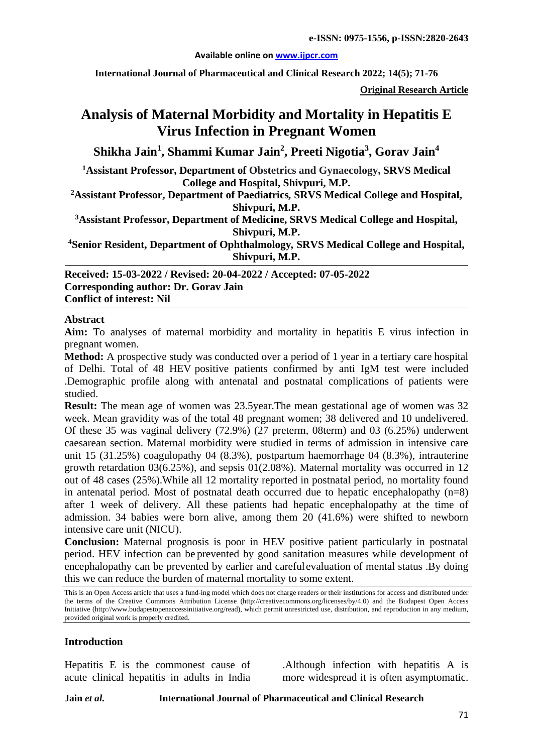#### **Available online on [www.ijpcr.com](http://www.ijpcr.com/)**

**International Journal of Pharmaceutical and Clinical Research 2022; 14(5); 71-76**

**Original Research Article**

# **Analysis of Maternal Morbidity and Mortality in Hepatitis E Virus Infection in Pregnant Women**

**Shikha Jain<sup>1</sup> , Shammi Kumar Jain<sup>2</sup> , Preeti Nigotia3 , Gorav Jain4**

**1 Assistant Professor, Department of Obstetrics and Gynaecology, SRVS Medical College and Hospital, Shivpuri, M.P.**

**2Assistant Professor, Department of Paediatrics***,* **SRVS Medical College and Hospital, Shivpuri, M.P.**

**3 Assistant Professor, Department of Medicine, SRVS Medical College and Hospital, Shivpuri, M.P.**

**4 Senior Resident, Department of Ophthalmology***,* **SRVS Medical College and Hospital, Shivpuri, M.P.**

**Received: 15-03-2022 / Revised: 20-04-2022 / Accepted: 07-05-2022 Corresponding author: Dr. Gorav Jain Conflict of interest: Nil**

#### **Abstract**

**Aim:** To analyses of maternal morbidity and mortality in hepatitis E virus infection in pregnant women.

**Method:** A prospective study was conducted over a period of 1 year in a tertiary care hospital of Delhi. Total of 48 HEV positive patients confirmed by anti IgM test were included .Demographic profile along with antenatal and postnatal complications of patients were studied.

**Result:** The mean age of women was 23.5year.The mean gestational age of women was 32 week. Mean gravidity was of the total 48 pregnant women; 38 delivered and 10 undelivered. Of these 35 was vaginal delivery (72.9%) (27 preterm, 08term) and 03 (6.25%) underwent caesarean section. Maternal morbidity were studied in terms of admission in intensive care unit 15 (31.25%) coagulopathy 04 (8.3%), postpartum haemorrhage 04 (8.3%), intrauterine growth retardation 03(6.25%), and sepsis 01(2.08%). Maternal mortality was occurred in 12 out of 48 cases (25%).While all 12 mortality reported in postnatal period, no mortality found in antenatal period. Most of postnatal death occurred due to hepatic encephalopathy  $(n=8)$ after 1 week of delivery. All these patients had hepatic encephalopathy at the time of admission. 34 babies were born alive, among them 20 (41.6%) were shifted to newborn intensive care unit (NICU).

**Conclusion:** Maternal prognosis is poor in HEV positive patient particularly in postnatal period. HEV infection can be prevented by good sanitation measures while development of encephalopathy can be prevented by earlier and carefulevaluation of mental status .By doing this we can reduce the burden of maternal mortality to some extent.

This is an Open Access article that uses a fund-ing model which does not charge readers or their institutions for access and distributed under the terms of the Creative Commons Attribution License (http://creativecommons.org/licenses/by/4.0) and the Budapest Open Access Initiative (http://www.budapestopenaccessinitiative.org/read), which permit unrestricted use, distribution, and reproduction in any medium, provided original work is properly credited.

## **Introduction**

Hepatitis E is the commonest cause of acute clinical hepatitis in adults in India

.Although infection with hepatitis A is more widespread it is often asymptomatic.

**Jain** *et al.* **International Journal of Pharmaceutical and Clinical Research**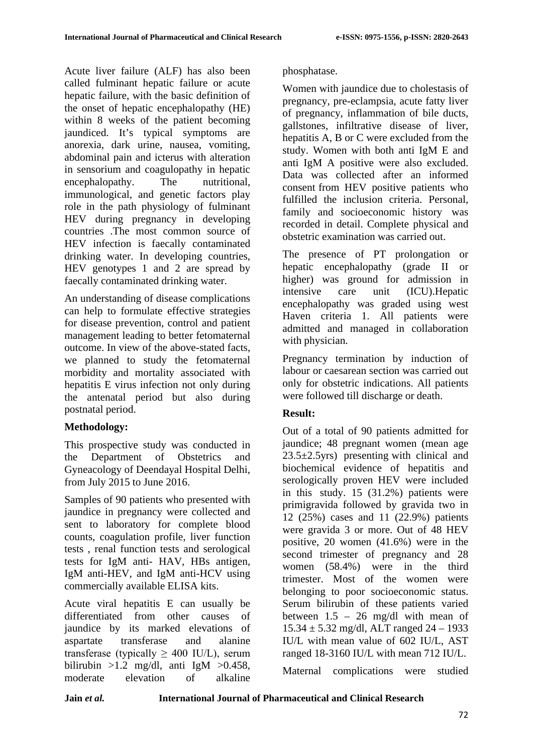Acute liver failure (ALF) has also been called fulminant hepatic failure or acute hepatic failure, with the basic definition of the onset of hepatic encephalopathy (HE) within 8 weeks of the patient becoming jaundiced. It's typical symptoms are anorexia, dark urine, nausea, vomiting, abdominal pain and icterus with alteration in sensorium and coagulopathy in hepatic encephalopathy. The nutritional, immunological, and genetic factors play role in the path physiology of fulminant HEV during pregnancy in developing countries .The most common source of HEV infection is faecally contaminated drinking water. In developing countries, HEV genotypes 1 and 2 are spread by faecally contaminated drinking water.

An understanding of disease complications can help to formulate effective strategies for disease prevention, control and patient management leading to better fetomaternal outcome. In view of the above-stated facts, we planned to study the fetomaternal morbidity and mortality associated with hepatitis E virus infection not only during the antenatal period but also during postnatal period.

## **Methodology:**

This prospective study was conducted in the Department of Obstetrics and Gyneacology of Deendayal Hospital Delhi, from July 2015 to June 2016.

Samples of 90 patients who presented with jaundice in pregnancy were collected and sent to laboratory for complete blood counts, coagulation profile, liver function tests , renal function tests and serological tests for IgM anti- HAV, HBs antigen, IgM anti-HEV, and IgM anti-HCV using commercially available ELISA kits.

Acute viral hepatitis E can usually be differentiated from other causes of jaundice by its marked elevations of aspartate transferase and alanine transferase (typically  $\geq$  400 IU/L), serum bilirubin  $>1.2$  mg/dl, anti IgM  $>0.458$ , moderate elevation of alkaline

# phosphatase.

Women with jaundice due to cholestasis of pregnancy, pre-eclampsia, acute fatty liver of pregnancy, inflammation of bile ducts, gallstones, infiltrative disease of liver, hepatitis A, B or C were excluded from the study. Women with both anti IgM E and anti IgM A positive were also excluded. Data was collected after an informed consent from HEV positive patients who fulfilled the inclusion criteria. Personal, family and socioeconomic history was recorded in detail. Complete physical and obstetric examination was carried out.

The presence of PT prolongation or hepatic encephalopathy (grade II or higher) was ground for admission in intensive care unit (ICU).Hepatic encephalopathy was graded using west Haven criteria 1. All patients were admitted and managed in collaboration with physician.

Pregnancy termination by induction of labour or caesarean section was carried out only for obstetric indications. All patients were followed till discharge or death.

# **Result:**

Out of a total of 90 patients admitted for jaundice; 48 pregnant women (mean age  $23.5\pm2.5$ yrs) presenting with clinical and biochemical evidence of hepatitis and serologically proven HEV were included in this study. 15 (31.2%) patients were primigravida followed by gravida two in 12 (25%) cases and 11 (22.9%) patients were gravida 3 or more. Out of 48 HEV positive, 20 women (41.6%) were in the second trimester of pregnancy and 28 women (58.4%) were in the third trimester. Most of the women were belonging to poor socioeconomic status. Serum bilirubin of these patients varied between  $1.5 - 26$  mg/dl with mean of 15.34 ± 5.32 mg/dl, ALT ranged 24 – 1933 IU/L with mean value of 602 IU/L, AST ranged 18-3160 IU/L with mean 712 IU/L.

Maternal complications were studied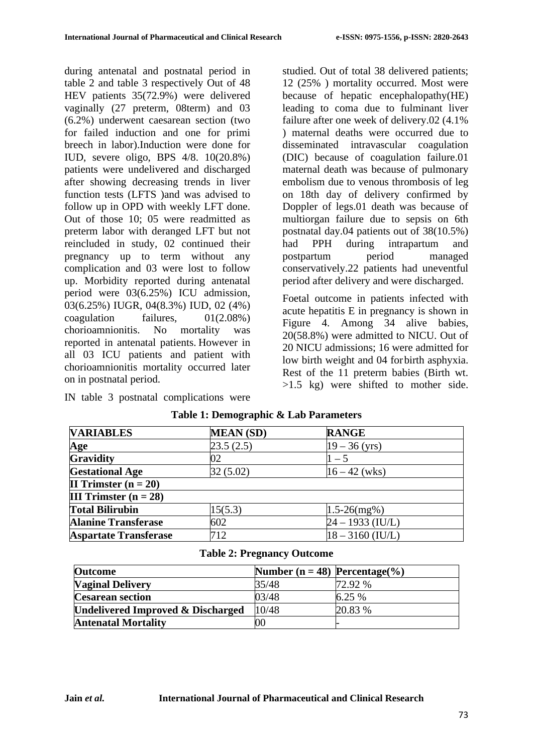during antenatal and postnatal period in table 2 and table 3 respectively Out of 48 HEV patients 35(72.9%) were delivered vaginally (27 preterm, 08term) and 03 (6.2%) underwent caesarean section (two for failed induction and one for primi breech in labor).Induction were done for IUD, severe oligo, BPS 4/8. 10(20.8%) patients were undelivered and discharged after showing decreasing trends in liver function tests (LFTS )and was advised to follow up in OPD with weekly LFT done. Out of those 10; 05 were readmitted as preterm labor with deranged LFT but not reincluded in study, 02 continued their pregnancy up to term without any complication and 03 were lost to follow up. Morbidity reported during antenatal period were 03(6.25%) ICU admission, 03(6.25%) IUGR, 04(8.3%) IUD, 02 (4%) coagulation failures, 01(2.08%) chorioamnionitis. No mortality was reported in antenatal patients. However in all 03 ICU patients and patient with chorioamnionitis mortality occurred later on in postnatal period.

IN table 3 postnatal complications were

studied. Out of total 38 delivered patients; 12 (25% ) mortality occurred. Most were because of hepatic encephalopathy(HE) leading to coma due to fulminant liver failure after one week of delivery.02 (4.1% ) maternal deaths were occurred due to disseminated intravascular coagulation (DIC) because of coagulation failure.01 maternal death was because of pulmonary embolism due to venous thrombosis of leg on 18th day of delivery confirmed by Doppler of legs.01 death was because of multiorgan failure due to sepsis on 6th postnatal day.04 patients out of 38(10.5%) had PPH during intrapartum and postpartum period managed conservatively.22 patients had uneventful period after delivery and were discharged.

Foetal outcome in patients infected with acute hepatitis E in pregnancy is shown in Figure 4. Among 34 alive babies, 20(58.8%) were admitted to NICU. Out of 20 NICU admissions; 16 were admitted for low birth weight and 04 forbirth asphyxia. Rest of the 11 preterm babies (Birth wt. >1.5 kg) were shifted to mother side.

| <b>VARIABLES</b>               | <b>MEAN</b> (SD) | <b>RANGE</b>       |
|--------------------------------|------------------|--------------------|
| Age                            | 23.5(2.5)        | $19 - 36$ (yrs)    |
| <b>Gravidity</b>               | 02               | $-5$               |
| <b>Gestational Age</b>         | 32(5.02)         | $16 - 42$ (wks)    |
| II Trimster $(n = 20)$         |                  |                    |
| <b>III</b> Trimster $(n = 28)$ |                  |                    |
| <b>Total Bilirubin</b>         | 15(5.3)          | $1.5 - 26$ (mg%)   |
| <b>Alanine Transferase</b>     | 602              | $24 - 1933$ (IU/L) |
| <b>Aspartate Transferase</b>   | 712              | $18 - 3160$ (IU/L) |

## **Table 1: Demographic & Lab Parameters**

## **Table 2: Pregnancy Outcome**

| <b>Outcome</b>                               | Number ( $n = 48$ ) Percentage(%) |         |
|----------------------------------------------|-----------------------------------|---------|
| <b>Vaginal Delivery</b>                      | 35/48                             | 72.92 % |
| <b>Cesarean section</b>                      | 03/48                             | 6.25%   |
| <b>Undelivered Improved &amp; Discharged</b> | 10/48                             | 20.83 % |
| <b>Antenatal Mortality</b>                   | $00\,$                            |         |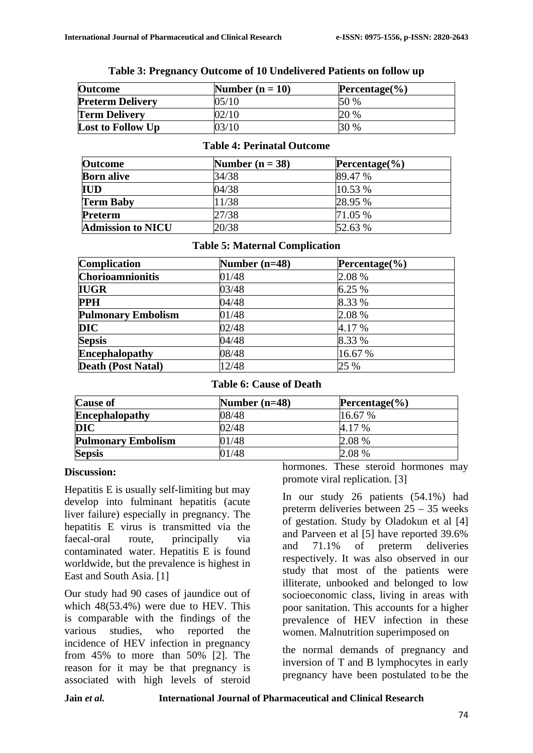| <b>Outcome</b>           | Number $(n = 10)$ | Percentage $(\% )$ |
|--------------------------|-------------------|--------------------|
| <b>Preterm Delivery</b>  | 05/10             | 50%                |
| <b>Term Delivery</b>     | 02/10             | 20 %               |
| <b>Lost to Follow Up</b> | 03/10             | 30 %               |

#### **Table 3: Pregnancy Outcome of 10 Undelivered Patients on follow up**

## **Table 4: Perinatal Outcome**

| <b>Outcome</b>           | Number $(n = 38)$ | Percentage $\left(\frac{9}{6}\right)$ |
|--------------------------|-------------------|---------------------------------------|
| <b>Born alive</b>        | 34/38             | 89.47 %                               |
| <b>IUD</b>               | 04/38             | 10.53 %                               |
| <b>Term Baby</b>         | 11/38             | 28.95 %                               |
| Preterm                  | 27/38             | 71.05 %                               |
| <b>Admission to NICU</b> | 20/38             | 52.63 %                               |

## **Table 5: Maternal Complication**

| Complication              | Number $(n=48)$ | Percentage $(\% )$ |
|---------------------------|-----------------|--------------------|
| <b>Chorioamnionitis</b>   | 01/48           | 2.08 %             |
| <b>IUGR</b>               | 03/48           | 6.25 %             |
| <b>PPH</b>                | 04/48           | 8.33 %             |
| <b>Pulmonary Embolism</b> | 01/48           | 2.08 %             |
| <b>DIC</b>                | 02/48           | 4.17 %             |
| <b>Sepsis</b>             | 04/48           | 8.33 %             |
| <b>Encephalopathy</b>     | 08/48           | 16.67 %            |
| <b>Death (Post Natal)</b> | 12/48           | 25 %               |

#### **Table 6: Cause of Death**

| <b>Cause of</b>           | Number $(n=48)$ | Percentage $(\% )$ |
|---------------------------|-----------------|--------------------|
| <b>Encephalopathy</b>     | 08/48           | 16.67 %            |
| DIC                       | 02/48           | 4.17 %             |
| <b>Pulmonary Embolism</b> | 01/48           | 2.08 %             |
| <b>Sepsis</b>             | 01/48           | 2.08 %             |

## **Discussion:**

Hepatitis E is usually self-limiting but may develop into fulminant hepatitis (acute liver failure) especially in pregnancy. The hepatitis E virus is transmitted via the faecal-oral route, principally via contaminated water. Hepatitis E is found worldwide, but the prevalence is highest in East and South Asia. [1]

Our study had 90 cases of jaundice out of which 48(53.4%) were due to HEV. This is comparable with the findings of the various studies, who reported the incidence of HEV infection in pregnancy from 45% to more than 50% [2]. The reason for it may be that pregnancy is associated with high levels of steroid

hormones. These steroid hormones may promote viral replication. [3]

In our study 26 patients (54.1%) had preterm deliveries between 25 – 35 weeks of gestation. Study by Oladokun et al [4] and Parveen et al [5] have reported 39.6% and 71.1% of preterm deliveries respectively. It was also observed in our study that most of the patients were illiterate, unbooked and belonged to low socioeconomic class, living in areas with poor sanitation. This accounts for a higher prevalence of HEV infection in these women. Malnutrition superimposed on

the normal demands of pregnancy and inversion of T and B lymphocytes in early pregnancy have been postulated to be the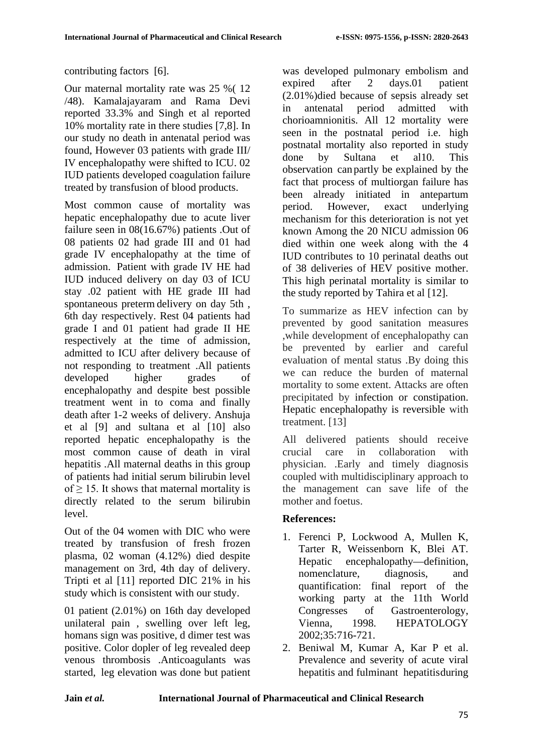contributing factors [6].

Our maternal mortality rate was 25 %( 12 /48). Kamalajayaram and Rama Devi reported 33.3% and Singh et al reported 10% mortality rate in there studies [7,8]. In our study no death in antenatal period was found, However 03 patients with grade III/ IV encephalopathy were shifted to ICU. 02 IUD patients developed coagulation failure treated by transfusion of blood products.

Most common cause of mortality was hepatic encephalopathy due to acute liver failure seen in 08(16.67%) patients .Out of 08 patients 02 had grade III and 01 had grade IV encephalopathy at the time of admission. Patient with grade IV HE had IUD induced delivery on day 03 of ICU stay .02 patient with HE grade III had spontaneous preterm delivery on day 5th , 6th day respectively. Rest 04 patients had grade I and 01 patient had grade II HE respectively at the time of admission, admitted to ICU after delivery because of not responding to treatment .All patients developed higher grades of encephalopathy and despite best possible treatment went in to coma and finally death after 1-2 weeks of delivery. Anshuja et al [9] and sultana et al [10] also reported hepatic encephalopathy is the most common cause of death in viral hepatitis .All maternal deaths in this group of patients had initial serum bilirubin level of  $> 15$ . It shows that maternal mortality is directly related to the serum bilirubin level.

Out of the 04 women with DIC who were treated by transfusion of fresh frozen plasma, 02 woman (4.12%) died despite management on 3rd, 4th day of delivery. Tripti et al [11] reported DIC 21% in his study which is consistent with our study.

01 patient (2.01%) on 16th day developed unilateral pain , swelling over left leg, homans sign was positive, d dimer test was positive. Color dopler of leg revealed deep venous thrombosis .Anticoagulants was started, leg elevation was done but patient

was developed pulmonary embolism and expired after 2 days.01 patient (2.01%)died because of sepsis already set in antenatal period admitted with chorioamnionitis. All 12 mortality were seen in the postnatal period i.e. high postnatal mortality also reported in study done by Sultana et al10. This observation can partly be explained by the fact that process of multiorgan failure has been already initiated in antepartum period. However, exact underlying mechanism for this deterioration is not yet known Among the 20 NICU admission 06 died within one week along with the 4 IUD contributes to 10 perinatal deaths out of 38 deliveries of HEV positive mother. This high perinatal mortality is similar to the study reported by Tahira et al [12].

To summarize as HEV infection can by prevented by good sanitation measures ,while development of encephalopathy can be prevented by earlier and careful evaluation of mental status .By doing this we can reduce the burden of maternal mortality to some extent. Attacks are often precipitated by infection or constipation. Hepatic encephalopathy is reversible with treatment. [13]

All delivered patients should receive crucial care in collaboration with physician. .Early and timely diagnosis coupled with multidisciplinary approach to the management can save life of the mother and foetus.

# **References:**

- 1. Ferenci P, Lockwood A, Mullen K, Tarter R, Weissenborn K, Blei AT. Hepatic encephalopathy—definition, nomenclature, diagnosis, and quantification: final report of the working party at the 11th World Congresses of Gastroenterology, Vienna, 1998. HEPATOLOGY 2002;35:716-721.
- 2. Beniwal M, Kumar A, Kar P et al. Prevalence and severity of acute viral hepatitis and fulminant hepatitisduring